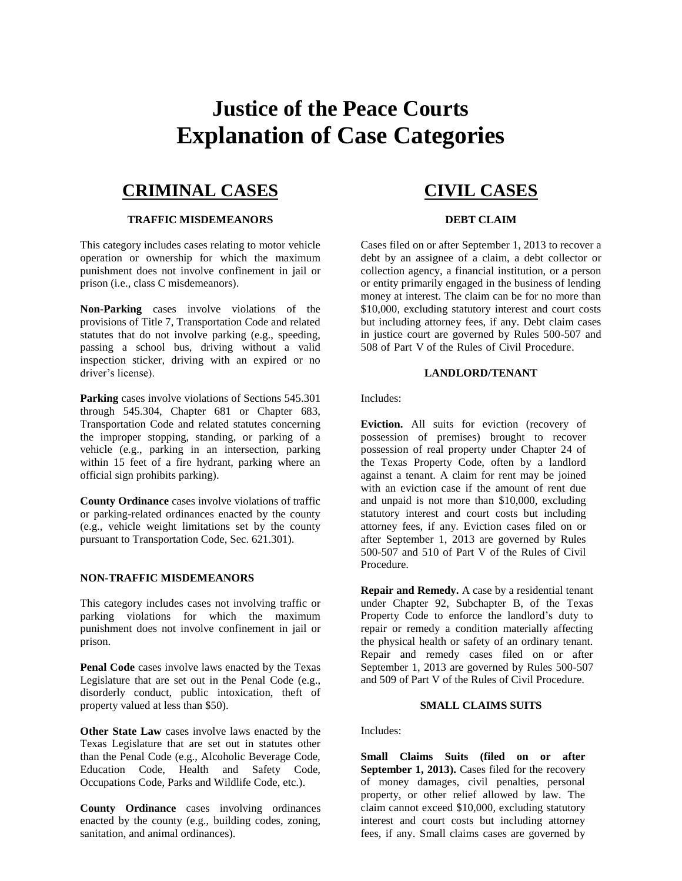# **Justice of the Peace Courts Explanation of Case Categories**

### **CRIMINAL CASES**

### **TRAFFIC MISDEMEANORS**

This category includes cases relating to motor vehicle operation or ownership for which the maximum punishment does not involve confinement in jail or prison (i.e., class C misdemeanors).

**Non-Parking** cases involve violations of the provisions of Title 7, Transportation Code and related statutes that do not involve parking (e.g., speeding, passing a school bus, driving without a valid inspection sticker, driving with an expired or no driver's license).

Parking cases involve violations of Sections 545.301 through 545.304, Chapter 681 or Chapter 683, Transportation Code and related statutes concerning the improper stopping, standing, or parking of a vehicle (e.g., parking in an intersection, parking within 15 feet of a fire hydrant, parking where an official sign prohibits parking).

**County Ordinance** cases involve violations of traffic or parking-related ordinances enacted by the county (e.g., vehicle weight limitations set by the county pursuant to Transportation Code, Sec. 621.301).

### **NON-TRAFFIC MISDEMEANORS**

This category includes cases not involving traffic or parking violations for which the maximum punishment does not involve confinement in jail or prison.

**Penal Code** cases involve laws enacted by the Texas Legislature that are set out in the Penal Code (e.g., disorderly conduct, public intoxication, theft of property valued at less than \$50).

**Other State Law** cases involve laws enacted by the Texas Legislature that are set out in statutes other than the Penal Code (e.g., Alcoholic Beverage Code, Education Code, Health and Safety Code, Occupations Code, Parks and Wildlife Code, etc.).

**County Ordinance** cases involving ordinances enacted by the county (e.g., building codes, zoning, sanitation, and animal ordinances).

## **CIVIL CASES**

### **DEBT CLAIM**

Cases filed on or after September 1, 2013 to recover a debt by an assignee of a claim, a debt collector or collection agency, a financial institution, or a person or entity primarily engaged in the business of lending money at interest. The claim can be for no more than \$10,000, excluding statutory interest and court costs but including attorney fees, if any. Debt claim cases in justice court are governed by Rules 500-507 and 508 of Part V of the Rules of Civil Procedure.

### **LANDLORD/TENANT**

Includes:

**Eviction.** All suits for eviction (recovery of possession of premises) brought to recover possession of real property under Chapter 24 of the Texas Property Code, often by a landlord against a tenant. A claim for rent may be joined with an eviction case if the amount of rent due and unpaid is not more than \$10,000, excluding statutory interest and court costs but including attorney fees, if any. Eviction cases filed on or after September 1, 2013 are governed by Rules 500-507 and 510 of Part V of the Rules of Civil Procedure.

**Repair and Remedy.** A case by a residential tenant under Chapter 92, Subchapter B, of the Texas Property Code to enforce the landlord's duty to repair or remedy a condition materially affecting the physical health or safety of an ordinary tenant. Repair and remedy cases filed on or after September 1, 2013 are governed by Rules 500-507 and 509 of Part V of the Rules of Civil Procedure.

#### **SMALL CLAIMS SUITS**

Includes:

**Small Claims Suits (filed on or after**  September 1, 2013). Cases filed for the recovery of money damages, civil penalties, personal property, or other relief allowed by law. The claim cannot exceed \$10,000, excluding statutory interest and court costs but including attorney fees, if any. Small claims cases are governed by